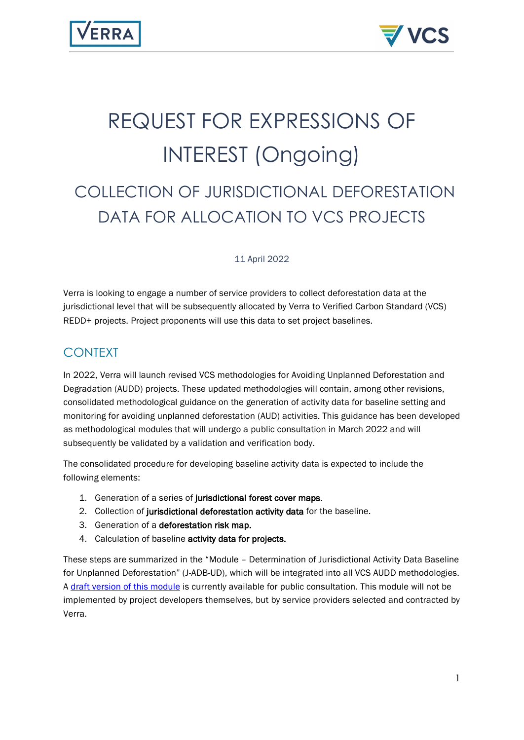# REQUEST FOR EXPRESSIONS OF INTEREST (Ongoing)

# COLLECTION OF JURISDICTIONAL DEFORESTATION DATA FOR ALLOCATION TO VCS PROJECTS

11 April 2022

Verra is looking to engage a number of service providers to collect deforestation data at the jurisdictional level that will be subsequently allocated by Verra to Verified Carbon Standard (VCS) REDD+ projects. Project proponents will use this data to set project baselines.

# CONTEXT

In 2022, Verra will launch revised VCS methodologies for Avoiding Unplanned Deforestation and Degradation (AUDD) projects. These updated methodologies will contain, among other revisions, consolidated methodological guidance on the generation of activity data for baseline setting and monitoring for avoiding unplanned deforestation (AUD) activities. This guidance has been developed as methodological modules that will undergo a public consultation in March 2022 and will subsequently be validated by a validation and verification body.

The consolidated procedure for developing baseline activity data is expected to include the following elements:

- 1. Generation of a series of jurisdictional forest cover maps.
- 2. Collection of jurisdictional deforestation activity data for the baseline.
- 3. Generation of a deforestation risk map.
- 4. Calculation of baseline activity data for projects.

These steps are summarized in the "Module – Determination of Jurisdictional Activity Data Baseline for Unplanned Deforestation" (J-ADB-UD), which will be integrated into all VCS AUDD methodologies. A [draft version of this module](https://verra.org/wp-content/uploads/2022/03/J-ADB-UD-Jurisdictional-Activity-Data-Baseline-for-Unplanned-Deforestation-v1.0.pdf) is currently available for public consultation. This module will not be implemented by project developers themselves, but by service providers selected and contracted by Verra.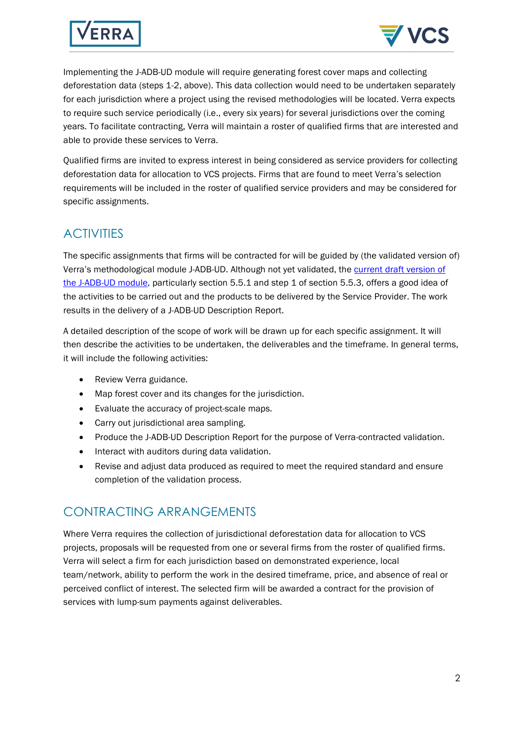



Implementing the J-ADB-UD module will require generating forest cover maps and collecting deforestation data (steps 1-2, above). This data collection would need to be undertaken separately for each jurisdiction where a project using the revised methodologies will be located. Verra expects to require such service periodically (i.e., every six years) for several jurisdictions over the coming years. To facilitate contracting, Verra will maintain a roster of qualified firms that are interested and able to provide these services to Verra.

Qualified firms are invited to express interest in being considered as service providers for collecting deforestation data for allocation to VCS projects. Firms that are found to meet Verra's selection requirements will be included in the roster of qualified service providers and may be considered for specific assignments.

#### **ACTIVITIES**

The specific assignments that firms will be contracted for will be guided by (the validated version of) Verra's methodological module J-ADB-UD. Although not yet validated, the current draft version of [the J-ADB-UD module,](https://verra.org/wp-content/uploads/2022/03/J-ADB-UD-Jurisdictional-Activity-Data-Baseline-for-Unplanned-Deforestation-v1.0.pdf) particularly section 5.5.1 and step 1 of section 5.5.3, offers a good idea of the activities to be carried out and the products to be delivered by the Service Provider. The work results in the delivery of a J-ADB-UD Description Report.

A detailed description of the scope of work will be drawn up for each specific assignment. It will then describe the activities to be undertaken, the deliverables and the timeframe. In general terms, it will include the following activities:

- Review Verra guidance.
- Map forest cover and its changes for the jurisdiction.
- Evaluate the accuracy of project-scale maps.
- Carry out jurisdictional area sampling.
- Produce the J-ADB-UD Description Report for the purpose of Verra-contracted validation.
- Interact with auditors during data validation.
- Revise and adjust data produced as required to meet the required standard and ensure completion of the validation process.

# CONTRACTING ARRANGEMENTS

Where Verra requires the collection of jurisdictional deforestation data for allocation to VCS projects, proposals will be requested from one or several firms from the roster of qualified firms. Verra will select a firm for each jurisdiction based on demonstrated experience, local team/network, ability to perform the work in the desired timeframe, price, and absence of real or perceived conflict of interest. The selected firm will be awarded a contract for the provision of services with lump-sum payments against deliverables.